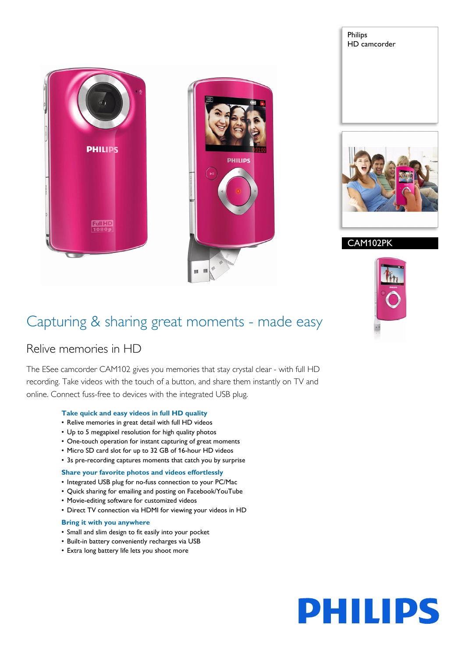# **PHILIPS Full HD** 10801



### Philips HD camcorder



CAM102PK



### Capturing & sharing great moments - made easy

### Relive memories in HD

The ESee camcorder CAM102 gives you memories that stay crystal clear - with full HD recording. Take videos with the touch of a button, and share them instantly on TV and online. Connect fuss-free to devices with the integrated USB plug.

### **Take quick and easy videos in full HD quality**

- Relive memories in great detail with full HD videos
- Up to 5 megapixel resolution for high quality photos
- One-touch operation for instant capturing of great moments
- Micro SD card slot for up to 32 GB of 16-hour HD videos
- 3s pre-recording captures moments that catch you by surprise

### **Share your favorite photos and videos effortlessly**

- Integrated USB plug for no-fuss connection to your PC/Mac
- Quick sharing for emailing and posting on Facebook/YouTube
- Movie-editing software for customized videos
- Direct TV connection via HDMI for viewing your videos in HD

### **Bring it with you anywhere**

- Small and slim design to fit easily into your pocket
- Built-in battery conveniently recharges via USB
- Extra long battery life lets you shoot more

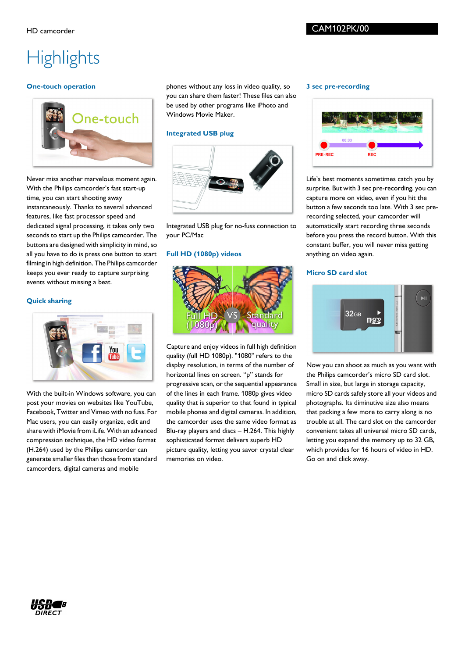## **Highlights**

### **One-touch operation**



Never miss another marvelous moment again. With the Philips camcorder's fast start-up time, you can start shooting away instantaneously. Thanks to several advanced features, like fast processor speed and dedicated signal processing, it takes only two seconds to start up the Philips camcorder. The buttons are designed with simplicity in mind, so all you have to do is press one button to start filming in high definition. The Philips camcorder keeps you ever ready to capture surprising events without missing a beat.

### **Quick sharing**



With the built-in Windows software, you can post your movies on websites like YouTube, Facebook, Twitter and Vimeo with no fuss. For Mac users, you can easily organize, edit and share with iMovie from iLife. With an advanced compression technique, the HD video format (H.264) used by the Philips camcorder can generate smaller files than those from standard camcorders, digital cameras and mobile

phones without any loss in video quality, so you can share them faster! These files can also be used by other programs like iPhoto and Windows Movie Maker.

### **Integrated USB plug**



Integrated USB plug for no-fuss connection to your PC/Mac

### **Full HD (1080p) videos**



Capture and enjoy videos in full high definition quality (full HD 1080p). "1080" refers to the display resolution, in terms of the number of horizontal lines on screen. "p" stands for progressive scan, or the sequential appearance of the lines in each frame. 1080p gives video quality that is superior to that found in typical mobile phones and digital cameras. In addition, the camcorder uses the same video format as Blu-ray players and discs – H.264. This highly sophisticated format delivers superb HD picture quality, letting you savor crystal clear memories on video.

#### **3 sec pre-recording**



Life's best moments sometimes catch you by surprise. But with 3 sec pre-recording, you can capture more on video, even if you hit the button a few seconds too late. With 3 sec prerecording selected, your camcorder will automatically start recording three seconds before you press the record button. With this constant buffer, you will never miss getting anything on video again.

### **Micro SD card slot**



Now you can shoot as much as you want with the Philips camcorder's micro SD card slot. Small in size, but large in storage capacity, micro SD cards safely store all your videos and photographs. Its diminutive size also means that packing a few more to carry along is no trouble at all. The card slot on the camcorder convenient takes all universal micro SD cards, letting you expand the memory up to 32 GB, which provides for 16 hours of video in HD. Go on and click away.